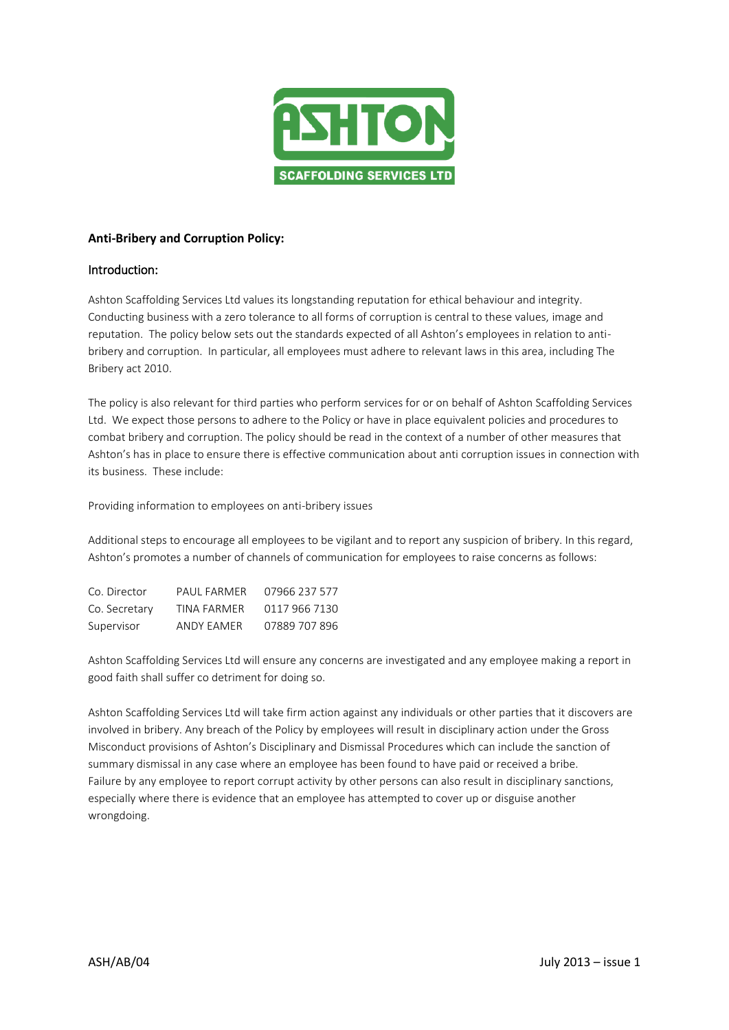

## **Anti-Bribery and Corruption Policy:**

# Introduction:

Ashton Scaffolding Services Ltd values its longstanding reputation for ethical behaviour and integrity. Conducting business with a zero tolerance to all forms of corruption is central to these values, image and reputation. The policy below sets out the standards expected of all Ashton's employees in relation to antibribery and corruption. In particular, all employees must adhere to relevant laws in this area, including The Bribery act 2010.

The policy is also relevant for third parties who perform services for or on behalf of Ashton Scaffolding Services Ltd. We expect those persons to adhere to the Policy or have in place equivalent policies and procedures to combat bribery and corruption. The policy should be read in the context of a number of other measures that Ashton's has in place to ensure there is effective communication about anti corruption issues in connection with its business. These include:

Providing information to employees on anti-bribery issues

Additional steps to encourage all employees to be vigilant and to report any suspicion of bribery. In this regard, Ashton's promotes a number of channels of communication for employees to raise concerns as follows:

| Co. Director  | PAUL FARMER | 07966 237 577 |
|---------------|-------------|---------------|
| Co. Secretary | TINA FARMER | 0117 966 7130 |
| Supervisor    | ANDY EAMER  | 07889 707 896 |

Ashton Scaffolding Services Ltd will ensure any concerns are investigated and any employee making a report in good faith shall suffer co detriment for doing so.

Ashton Scaffolding Services Ltd will take firm action against any individuals or other parties that it discovers are involved in bribery. Any breach of the Policy by employees will result in disciplinary action under the Gross Misconduct provisions of Ashton's Disciplinary and Dismissal Procedures which can include the sanction of summary dismissal in any case where an employee has been found to have paid or received a bribe. Failure by any employee to report corrupt activity by other persons can also result in disciplinary sanctions, especially where there is evidence that an employee has attempted to cover up or disguise another wrongdoing.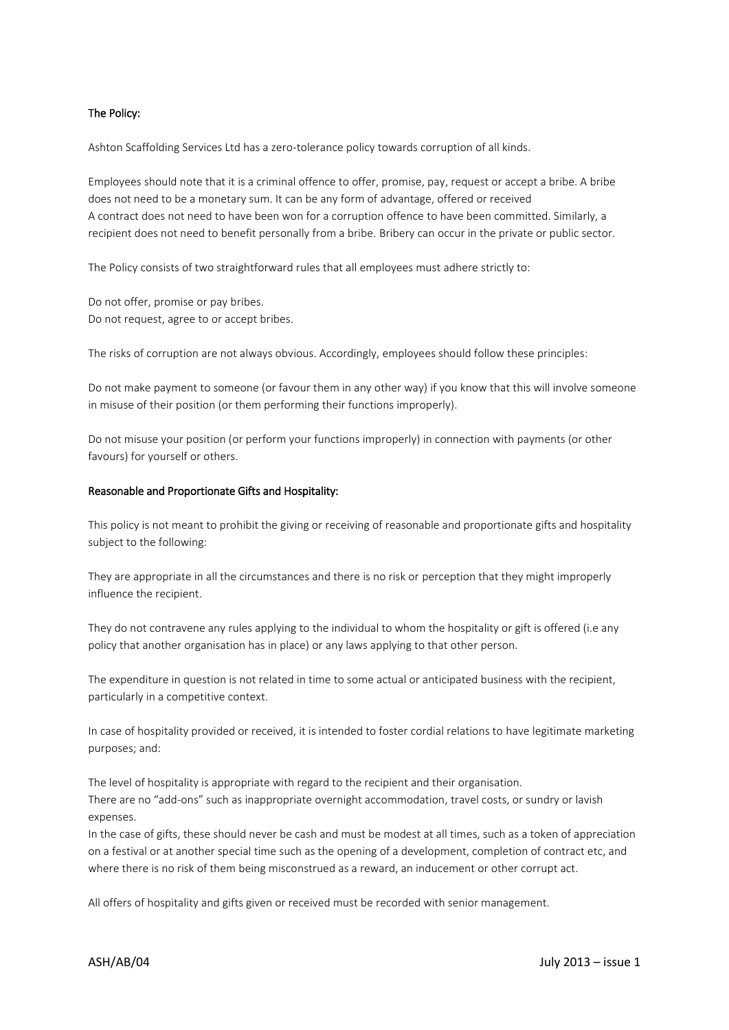### The Policy:

Ashton Scaffolding Services Ltd has a zero-tolerance policy towards corruption of all kinds.

Employees should note that it is a criminal offence to offer, promise, pay, request or accept a bribe. A bribe does not need to be a monetary sum. It can be any form of advantage, offered or received A contract does not need to have been won for a corruption offence to have been committed. Similarly, a recipient does not need to benefit personally from a bribe. Bribery can occur in the private or public sector.

The Policy consists of two straightforward rules that all employees must adhere strictly to:

Do not offer, promise or pay bribes. Do not request, agree to or accept bribes.

The risks of corruption are not always obvious. Accordingly, employees should follow these principles:

Do not make payment to someone (or favour them in any other way) if you know that this will involve someone in misuse of their position (or them performing their functions improperly).

Do not misuse your position (or perform your functions improperly) in connection with payments (or other favours) for yourself or others.

#### Reasonable and Proportionate Gifts and Hospitality:

This policy is not meant to prohibit the giving or receiving of reasonable and proportionate gifts and hospitality subject to the following:

They are appropriate in all the circumstances and there is no risk or perception that they might improperly influence the recipient.

They do not contravene any rules applying to the individual to whom the hospitality or gift is offered (i.e any policy that another organisation has in place) or any laws applying to that other person.

The expenditure in question is not related in time to some actual or anticipated business with the recipient, particularly in a competitive context.

In case of hospitality provided or received, it is intended to foster cordial relations to have legitimate marketing purposes; and:

The level of hospitality is appropriate with regard to the recipient and their organisation. There are no "add-ons" such as inappropriate overnight accommodation, travel costs, or sundry or lavish expenses.

In the case of gifts, these should never be cash and must be modest at all times, such as a token of appreciation on a festival or at another special time such as the opening of a development, completion of contract etc, and where there is no risk of them being misconstrued as a reward, an inducement or other corrupt act.

All offers of hospitality and gifts given or received must be recorded with senior management.